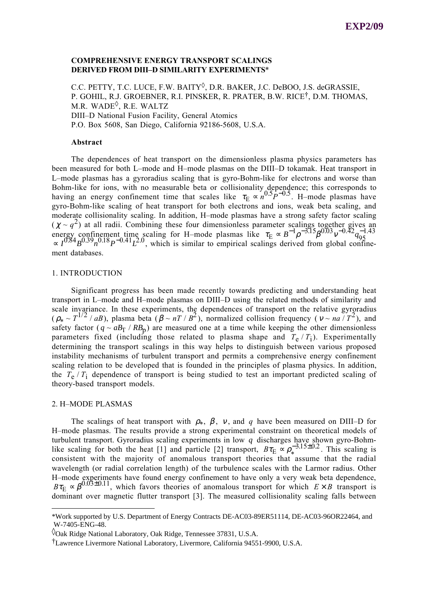## **COMPREHENSIVE ENERGY TRANSPORT SCALINGS DERIVED FROM DIII–D SIMILARITY EXPERIMENTS**\*

C.C. PETTY, T.C. LUCE, F.W. BAITY<sup>0</sup>, D.R. BAKER, J.C. DeBOO, J.S. deGRASSIE, P. GOHIL, R.J. GROEBNER, R.I. PINSKER, R. PRATER, B.W. RICE†, D.M. THOMAS, M.R. WADE<sup> $\diamond$ </sup>, R.E. WALTZ DIII–D National Fusion Facility, General Atomics P.O. Box 5608, San Diego, California 92186-5608, U.S.A.

### **Abstract**

The dependences of heat transport on the dimensionless plasma physics parameters has been measured for both L–mode and H–mode plasmas on the DIII–D tokamak. Heat transport in L–mode plasmas has a gyroradius scaling that is gyro-Bohm-like for electrons and worse than Bohm-like for ions, with no measurable beta or collisionality dependence; this corresponds to bolin like for folls, which is measurable been or componently dependence, this corresponds to having an energy confinement time that scales like  $\tau_{\rm E} \propto n^{0.5} P^{-0.5}$ . H–mode plasmas have gyro-Bohm-like scaling of heat transport for both electrons and ions, weak beta scaling, and moderate collisionality scaling. In addition, H–mode plasmas have a strong safety factor scaling ( $\chi \sim q^2$ ) at all radii. Combining these four dimensionless parameter scalings together gives an  $q^2$  at all radii. Combining these four dimensionless parameter scalings together gives an energy confinement time scaling for H–mode plasmas like  $\tau_E \propto B^{-1} \rho^{-3.15} \beta^{0.03} \nu^{-0.42} q_{95}^{-1.43}$  $\alpha K^2 I^{0.84} B^{0.39} n^{0.18} P^{-0.41} L^{2.0}$ , which is similar to empirical scalings derived from global confinement databases.

### 1. INTRODUCTION

Significant progress has been made recently towards predicting and understanding heat transport in L–mode and H–mode plasmas on DIII–D using the related methods of similarity and scale invariance. In these experiments, the dependences of transport on the relative gyroradius  $(\rho_* \sim T^{1/2}/aB)$ , plasma beta  $(\beta \sim nT/B^2)$ , normalized collision frequency ( $v \sim na/T^2$ ), and safety factor  $(q \sim aB_T / RB_p)$  are measured one at a time while keeping the other dimensionless parameters fixed (including those related to plasma shape and  $T_e/T_i$ ). Experimentally determining the transport scalings in this way helps to distinguish between various proposed instability mechanisms of turbulent transport and permits a comprehensive energy confinement scaling relation to be developed that is founded in the principles of plasma physics. In addition, the  $T_e$  /  $T_i$  dependence of transport is being studied to test an important predicted scaling of theory-based transport models.

### 2. H–MODE PLASMAS

The scalings of heat transport with  $\rho_*$ ,  $\beta$ ,  $\nu$ , and  $q$  have been measured on DIII–D for H–mode plasmas. The results provide a strong experimental constraint on theoretical models of turbulent transport. Gyroradius scaling experiments in low *q* discharges have shown gyro-Bohmlike scaling for both the heat [1] and particle [2] transport,  $B\tau_E \propto \rho_*^{-3.15\pm0.2}$ . This scaling is consistent with the majority of anomalous transport theories that assume that the radial wavelength (or radial correlation length) of the turbulence scales with the Larmor radius. Other H–mode experiments have found energy confinement to have only a very weak beta dependence,  $B\tau_{\rm E} \propto \beta^{0.03\pm0.11}$ , which favors theories of anomalous transport for which  $E \times B$  transport is dominant over magnetic flutter transport [3]. The measured collisionality scaling falls between

<sup>\*</sup>Work supported by U.S. Department of Energy Contracts DE-AC03-89ER51114, DE-AC03-96OR22464, and W-7405-ENG-48.

<sup>◊</sup>Oak Ridge National Laboratory, Oak Ridge, Tennessee 37831, U.S.A.

<sup>†</sup>Lawrence Livermore National Laboratory, Livermore, California 94551-9900, U.S.A.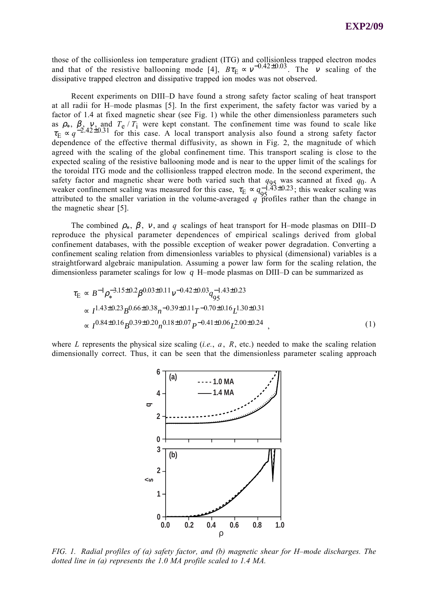those of the collisionless ion temperature gradient (ITG) and collisionless trapped electron modes and that of the resistive ballooning mode [4],  $B\tau_E \propto v^{-0.42 \pm 0.03}$ . The *v* scaling of the dissipative trapped electron and dissipative trapped ion modes was not observed.

Recent experiments on DIII–D have found a strong safety factor scaling of heat transport at all radii for H–mode plasmas [5]. In the first experiment, the safety factor was varied by a factor of 1.4 at fixed magnetic shear (see Fig. 1) while the other dimensionless parameters such as  $\rho_*$ ,  $\beta_{\gamma}$ ,  $\gamma$ , and  $T_e/T_i$  were kept constant. The confinement time was found to scale like  $\tau_{\rm E} \propto q^{-2.42\pm0.31}$  for this case. A local transport analysis also found a strong safety factor dependence of the effective thermal diffusivity, as shown in Fig. 2, the magnitude of which agreed with the scaling of the global confinement time. This transport scaling is close to the expected scaling of the resistive ballooning mode and is near to the upper limit of the scalings for the toroidal ITG mode and the collisionless trapped electron mode. In the second experiment, the safety factor and magnetic shear were both varied such that  $q_{95}$  was scanned at fixed  $q_0$ . A weaker confinement scaling was measured for this case,  $\tau_E \propto q_{95}^{-1.43 \pm 0.23}$ ; this weaker scaling was attributed to the smaller variation in the volume-averaged  $q$  profiles rather than the change in the magnetic shear [5].

The combined  $\rho_*$ ,  $\beta$ ,  $v$ , and  $q$  scalings of heat transport for H–mode plasmas on DIII–D reproduce the physical parameter dependences of empirical scalings derived from global confinement databases, with the possible exception of weaker power degradation. Converting a confinement scaling relation from dimensionless variables to physical (dimensional) variables is a straightforward algebraic manipulation. Assuming a power law form for the scaling relation, the dimensionless parameter scalings for low *q* H–mode plasmas on DIII–D can be summarized as

$$
\tau_{\rm E} \propto B^{-1} \rho_*^{-3.15 \pm 0.2} \beta^{0.03 \pm 0.11} \nu^{-0.42 \pm 0.03} q_{95}^{-1.43 \pm 0.23}
$$
\n
$$
\propto I^{1.43 \pm 0.23} B^{0.66 \pm 0.38} n^{-0.39 \pm 0.11} T^{-0.70 \pm 0.16} L^{1.30 \pm 0.31}
$$
\n
$$
\propto I^{0.84 \pm 0.16} B^{0.39 \pm 0.20} n^{0.18 \pm 0.07} P^{-0.41 \pm 0.06} L^{2.00 \pm 0.24} \tag{1}
$$

where *L* represents the physical size scaling (*i.e.*, *a* , *R*, etc.) needed to make the scaling relation dimensionally correct. Thus, it can be seen that the dimensionless parameter scaling approach



*FIG. 1. Radial profiles of (a) safety factor, and (b) magnetic shear for H–mode discharges. The dotted line in (a) represents the 1.0 MA profile scaled to 1.4 MA.*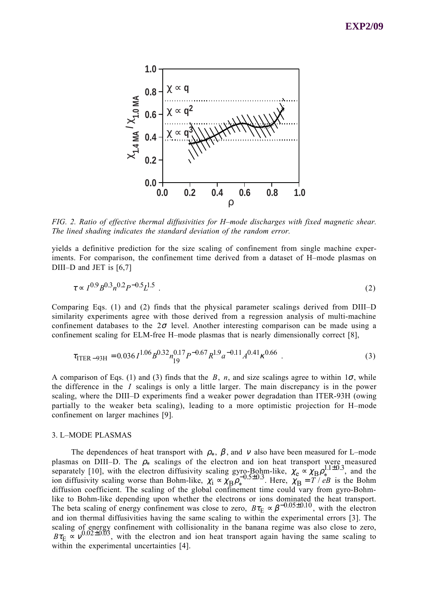

*FIG. 2. Ratio of effective thermal diffusivities for H–mode discharges with fixed magnetic shear. The lined shading indicates the standard deviation of the random error.*

yields a definitive prediction for the size scaling of confinement from single machine experiments. For comparison, the confinement time derived from a dataset of H–mode plasmas on DIII–D and JET is [6,7]

$$
\tau \propto I^{0.9} B^{0.3} n^{0.2} P^{-0.5} L^{1.5} \tag{2}
$$

Comparing Eqs. (1) and (2) finds that the physical parameter scalings derived from DIII–D similarity experiments agree with those derived from a regression analysis of multi-machine confinement databases to the  $2\sigma$  level. Another interesting comparison can be made using a confinement scaling for ELM-free H–mode plasmas that is nearly dimensionally correct [8],

$$
\tau_{\text{ITER-93H}} = 0.036 I^{1.06} B^{0.32} n_{19}^{0.17} P^{-0.67} R^{1.9} a^{-0.11} A^{0.41} \kappa^{0.66} \tag{3}
$$

A comparison of Eqs. (1) and (3) finds that the  $B$ ,  $n$ , and size scalings agree to within  $1\sigma$ , while the difference in the *I* scalings is only a little larger. The main discrepancy is in the power scaling, where the DIII–D experiments find a weaker power degradation than ITER-93H (owing partially to the weaker beta scaling), leading to a more optimistic projection for H–mode confinement on larger machines [9].

### 3. L–MODE PLASMAS

The dependences of heat transport with  $\rho_*, \beta$ , and v also have been measured for L–mode plasmas on DIII–D. The  $\rho_*$  scalings of the electron and ion heat transport were measured plasmas on BIT B: The  $\rho^*$  seamings of the electron and for heat transport were measured<br>separately [10], with the electron diffusivity scaling gyro-Bohm-like,  $\chi_e \propto \chi_B \rho_*^{1.1\pm0.3}$ , and the ion diffusivity scaling worse than Bohm-like,  $\chi_1 \propto \chi_B \rho_*^{-0.5\pm0.3}$ . Here,  $\chi_B = T / eB$  is the Bohm diffusion coefficient. The scaling of the global confinement time could vary from gyro-Bohmlike to Bohm-like depending upon whether the electrons or ions dominated the heat transport. The beta scaling of energy confinement was close to zero,  $B\tau_{\rm E} \propto \beta^{-0.05\pm0.10}$ , with the electron and ion thermal diffusivities having the same scaling to within the experimental errors [3]. The scaling of energy confinement with collisionality in the banana regime was also close to zero,  $B\tau_{\rm E} \propto v^{0.02\pm0.03}$ , with the electron and ion heat transport again having the same scaling to within the experimental uncertainties [4].